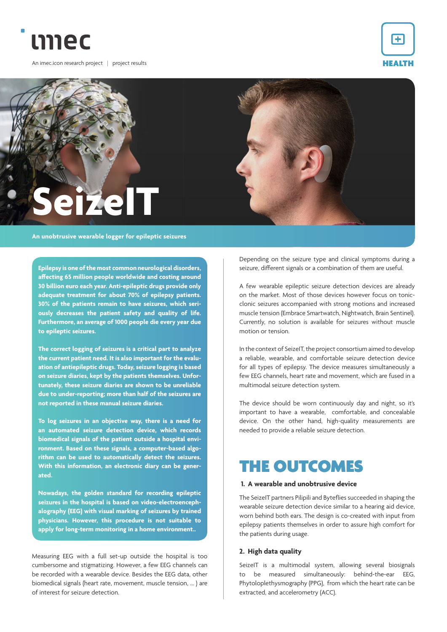

An imec.icon research project | project results





**Epilepsy is one of the most common neurological disorders, affecting 65 million people worldwide and costing around 30 billion euro each year. Anti-epileptic drugs provide only adequate treatment for about 70% of epilepsy patients. 30% of the patients remain to have seizures, which seriously decreases the patient safety and quality of life. Furthermore, an average of 1000 people die every year due to epileptic seizures.** 

**The correct logging of seizures is a critical part to analyze the current patient need. It is also important for the evaluation of antiepileptic drugs. Today, seizure logging is based on seizure diaries, kept by the patients themselves. Unfortunately, these seizure diaries are shown to be unreliable due to under-reporting; more than half of the seizures are not reported in these manual seizure diaries.** 

**To log seizures in an objective way, there is a need for an automated seizure detection device, which records biomedical signals of the patient outside a hospital environment. Based on these signals, a computer-based algorithm can be used to automatically detect the seizures. With this information, an electronic diary can be generated.**

**Nowadays, the golden standard for recording epileptic seizures in the hospital is based on video-electroencephalography (EEG) with visual marking of seizures by trained physicians. However, this procedure is not suitable to apply for long-term monitoring in a home environment..**

Measuring EEG with a full set-up outside the hospital is too cumbersome and stigmatizing. However, a few EEG channels can be recorded with a wearable device. Besides the EEG data, other biomedical signals (heart rate, movement, muscle tension, … ) are of interest for seizure detection.

Depending on the seizure type and clinical symptoms during a seizure, different signals or a combination of them are useful.

A few wearable epileptic seizure detection devices are already on the market. Most of those devices however focus on tonicclonic seizures accompanied with strong motions and increased muscle tension (Embrace Smartwatch, Nightwatch, Brain Sentinel). Currently, no solution is available for seizures without muscle motion or tension.

In the context of SeizeIT, the project consortium aimed to develop a reliable, wearable, and comfortable seizure detection device for all types of epilepsy. The device measures simultaneously a few EEG channels, heart rate and movement, which are fused in a multimodal seizure detection system.

The device should be worn continuously day and night, so it's important to have a wearable, comfortable, and concealable device. On the other hand, high-quality measurements are needed to provide a reliable seizure detection.

# THE OUTCOMES

#### **1. A wearable and unobtrusive device**

The SeizeIT partners Pilipili and Byteflies succeeded in shaping the wearable seizure detection device similar to a hearing aid device, worn behind both ears. The design is co-created with input from epilepsy patients themselves in order to assure high comfort for the patients during usage.

#### **2. High data quality**

SeizeIT is a multimodal system, allowing several biosignals to be measured simultaneously: behind-the-ear EEG, Phytoloplethysmography (PPG), from which the heart rate can be extracted, and accelerometry (ACC).